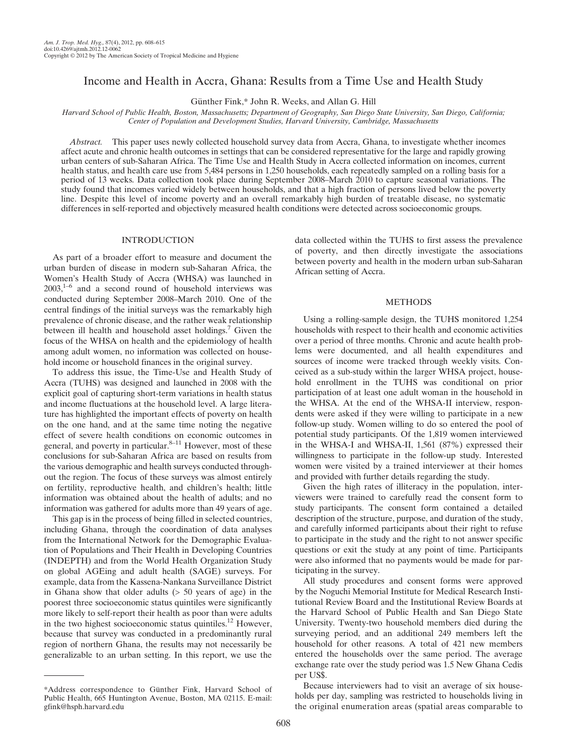# Income and Health in Accra, Ghana: Results from a Time Use and Health Study

Günther Fink,\* John R. Weeks, and Allan G. Hill

Harvard School of Public Health, Boston, Massachusetts; Department of Geography, San Diego State University, San Diego, California; Center of Population and Development Studies, Harvard University, Cambridge, Massachusetts

Abstract. This paper uses newly collected household survey data from Accra, Ghana, to investigate whether incomes affect acute and chronic health outcomes in settings that can be considered representative for the large and rapidly growing urban centers of sub-Saharan Africa. The Time Use and Health Study in Accra collected information on incomes, current health status, and health care use from 5,484 persons in 1,250 households, each repeatedly sampled on a rolling basis for a period of 13 weeks. Data collection took place during September 2008–March 2010 to capture seasonal variations. The study found that incomes varied widely between households, and that a high fraction of persons lived below the poverty line. Despite this level of income poverty and an overall remarkably high burden of treatable disease, no systematic differences in self-reported and objectively measured health conditions were detected across socioeconomic groups.

## INTRODUCTION

As part of a broader effort to measure and document the urban burden of disease in modern sub-Saharan Africa, the Women's Health Study of Accra (WHSA) was launched in  $2003$ ,<sup>1–6</sup> and a second round of household interviews was conducted during September 2008–March 2010. One of the central findings of the initial surveys was the remarkably high prevalence of chronic disease, and the rather weak relationship between ill health and household asset holdings.7 Given the focus of the WHSA on health and the epidemiology of health among adult women, no information was collected on household income or household finances in the original survey.

To address this issue, the Time-Use and Health Study of Accra (TUHS) was designed and launched in 2008 with the explicit goal of capturing short-term variations in health status and income fluctuations at the household level. A large literature has highlighted the important effects of poverty on health on the one hand, and at the same time noting the negative effect of severe health conditions on economic outcomes in general, and poverty in particular. $8-11$  However, most of these conclusions for sub-Saharan Africa are based on results from the various demographic and health surveys conducted throughout the region. The focus of these surveys was almost entirely on fertility, reproductive health, and children's health; little information was obtained about the health of adults; and no information was gathered for adults more than 49 years of age.

This gap is in the process of being filled in selected countries, including Ghana, through the coordination of data analyses from the International Network for the Demographic Evaluation of Populations and Their Health in Developing Countries (INDEPTH) and from the World Health Organization Study on global AGEing and adult health (SAGE) surveys. For example, data from the Kassena-Nankana Surveillance District in Ghana show that older adults  $(> 50$  years of age) in the poorest three socioeconomic status quintiles were significantly more likely to self-report their health as poor than were adults in the two highest socioeconomic status quintiles.<sup>12</sup> However, because that survey was conducted in a predominantly rural region of northern Ghana, the results may not necessarily be generalizable to an urban setting. In this report, we use the

\*Address correspondence to Günther Fink, Harvard School of Public Health, 665 Huntington Avenue, Boston, MA 02115. E-mail: gfink@hsph.harvard.edu

data collected within the TUHS to first assess the prevalence of poverty, and then directly investigate the associations between poverty and health in the modern urban sub-Saharan African setting of Accra.

### **METHODS**

Using a rolling-sample design, the TUHS monitored 1,254 households with respect to their health and economic activities over a period of three months. Chronic and acute health problems were documented, and all health expenditures and sources of income were tracked through weekly visits. Conceived as a sub-study within the larger WHSA project, household enrollment in the TUHS was conditional on prior participation of at least one adult woman in the household in the WHSA. At the end of the WHSA-II interview, respondents were asked if they were willing to participate in a new follow-up study. Women willing to do so entered the pool of potential study participants. Of the 1,819 women interviewed in the WHSA-I and WHSA-II, 1,561 (87%) expressed their willingness to participate in the follow-up study. Interested women were visited by a trained interviewer at their homes and provided with further details regarding the study.

Given the high rates of illiteracy in the population, interviewers were trained to carefully read the consent form to study participants. The consent form contained a detailed description of the structure, purpose, and duration of the study, and carefully informed participants about their right to refuse to participate in the study and the right to not answer specific questions or exit the study at any point of time. Participants were also informed that no payments would be made for participating in the survey.

All study procedures and consent forms were approved by the Noguchi Memorial Institute for Medical Research Institutional Review Board and the Institutional Review Boards at the Harvard School of Public Health and San Diego State University. Twenty-two household members died during the surveying period, and an additional 249 members left the household for other reasons. A total of 421 new members entered the households over the same period. The average exchange rate over the study period was 1.5 New Ghana Cedis per US\$.

Because interviewers had to visit an average of six households per day, sampling was restricted to households living in the original enumeration areas (spatial areas comparable to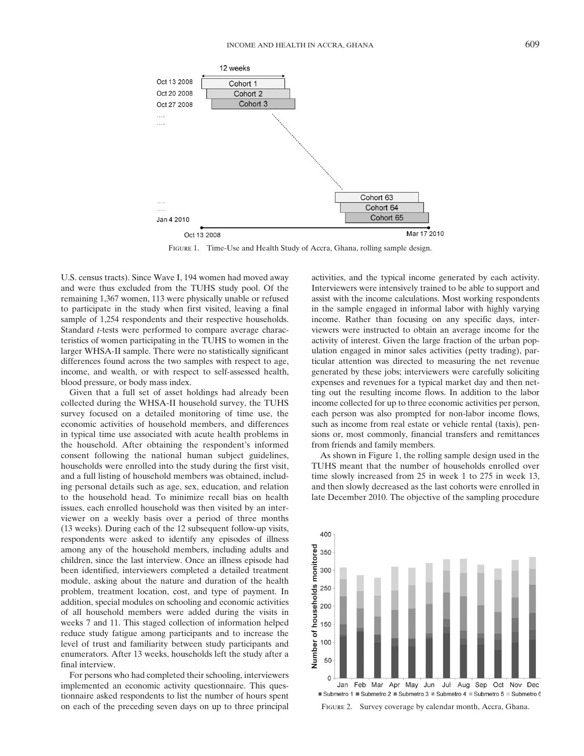

FIGURE 1. Time-Use and Health Study of Accra, Ghana, rolling sample design.

U.S. census tracts). Since Wave I, 194 women had moved away and were thus excluded from the TUHS study pool. Of the remaining 1,367 women, 113 were physically unable or refused to participate in the study when first visited, leaving a final sample of 1,254 respondents and their respective households. Standard *t*-tests were performed to compare average characteristics of women participating in the TUHS to women in the larger WHSA-II sample. There were no statistically significant differences found across the two samples with respect to age, income, and wealth, or with respect to self-assessed health, blood pressure, or body mass index.

Given that a full set of asset holdings had already been collected during the WHSA-II household survey, the TUHS survey focused on a detailed monitoring of time use, the economic activities of household members, and differences in typical time use associated with acute health problems in the household. After obtaining the respondent's informed consent following the national human subject guidelines, households were enrolled into the study during the first visit, and a full listing of household members was obtained, including personal details such as age, sex, education, and relation to the household head. To minimize recall bias on health issues, each enrolled household was then visited by an interviewer on a weekly basis over a period of three months (13 weeks). During each of the 12 subsequent follow-up visits, respondents were asked to identify any episodes of illness among any of the household members, including adults and children, since the last interview. Once an illness episode had been identified, interviewers completed a detailed treatment module, asking about the nature and duration of the health problem, treatment location, cost, and type of payment. In addition, special modules on schooling and economic activities of all household members were added during the visits in weeks 7 and 11. This staged collection of information helped reduce study fatigue among participants and to increase the level of trust and familiarity between study participants and enumerators. After 13 weeks, households left the study after a final interview.

For persons who had completed their schooling, interviewers implemented an economic activity questionnaire. This questionnaire asked respondents to list the number of hours spent on each of the preceding seven days on up to three principal activities, and the typical income generated by each activity. Interviewers were intensively trained to be able to support and assist with the income calculations. Most working respondents in the sample engaged in informal labor with highly varying income. Rather than focusing on any specific days, interviewers were instructed to obtain an average income for the activity of interest. Given the large fraction of the urban population engaged in minor sales activities (petty trading), particular attention was directed to measuring the net revenue generated by these jobs; interviewers were carefully soliciting expenses and revenues for a typical market day and then netting out the resulting income flows. In addition to the labor income collected for up to three economic activities per person, each person was also prompted for non-labor income flows, such as income from real estate or vehicle rental (taxis), pensions or, most commonly, financial transfers and remittances from friends and family members.

As shown in Figure 1, the rolling sample design used in the TUHS meant that the number of households enrolled over time slowly increased from 25 in week 1 to 275 in week 13, and then slowly decreased as the last cohorts were enrolled in late December 2010. The objective of the sampling procedure

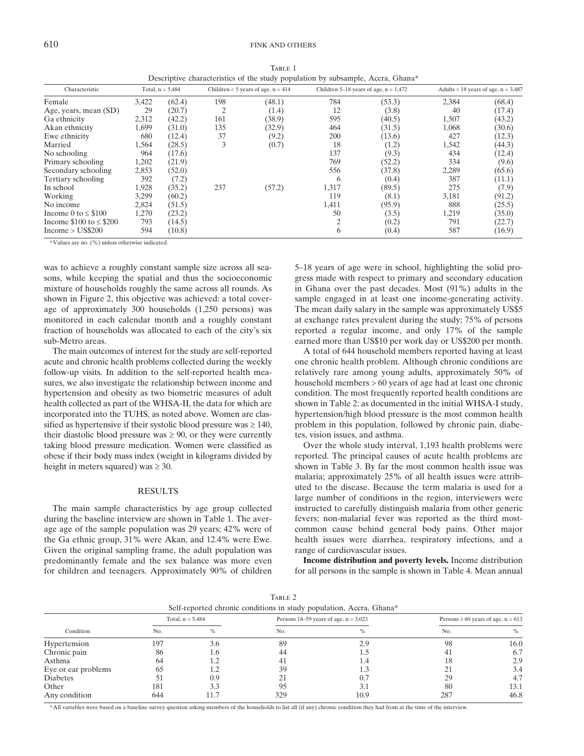| TABLE 1                                                                         |  |
|---------------------------------------------------------------------------------|--|
| Descriptive characteristics of the study population by subsample, Accra, Ghana* |  |

| Characteristic                | Total, $n = 5,484$ |        | .<br>Children $<$ 5 years of age, n = 414 |        | Children 5–18 years of age, $n = 1,472$ |        | Adults $> 18$ years of age, $n = 3,487$ |        |
|-------------------------------|--------------------|--------|-------------------------------------------|--------|-----------------------------------------|--------|-----------------------------------------|--------|
| Female                        | 3,422              | (62.4) | 198                                       | (48.1) | 784                                     | (53.3) | 2,384                                   | (68.4) |
|                               |                    |        |                                           |        |                                         |        |                                         |        |
| Age, years, mean (SD)         | 29                 | (20.7) |                                           | (1.4)  | 12                                      | (3.8)  | 40                                      | (17.4) |
| Ga ethnicity                  | 2,312              | (42.2) | 161                                       | (38.9) | 595                                     | (40.5) | 1,507                                   | (43.2) |
| Akan ethnicity                | 1,699              | (31.0) | 135                                       | (32.9) | 464                                     | (31.5) | 1,068                                   | (30.6) |
| Ewe ethnicity                 | 680                | (12.4) | 37                                        | (9.2)  | 200                                     | (13.6) | 427                                     | (12.3) |
| Married                       | 1,564              | (28.5) | 3                                         | (0.7)  | 18                                      | (1.2)  | 1,542                                   | (44.3) |
| No schooling                  | 964                | (17.6) |                                           |        | 137                                     | (9.3)  | 434                                     | (12.4) |
| Primary schooling             | 1,202              | (21.9) |                                           |        | 769                                     | (52.2) | 334                                     | (9.6)  |
| Secondary schooling           | 2,853              | (52.0) |                                           |        | 556                                     | (37.8) | 2,289                                   | (65.6) |
| Tertiary schooling            | 392                | (7.2)  |                                           |        | 6                                       | (0.4)  | 387                                     | (11.1) |
| In school                     | 1.928              | (35.2) | 237                                       | (57.2) | 1,317                                   | (89.5) | 275                                     | (7.9)  |
| Working                       | 3.299              | (60.2) |                                           |        | 119                                     | (8.1)  | 3,181                                   | (91.2) |
| No income                     | 2,824              | (51.5) |                                           |        | 1,411                                   | (95.9) | 888                                     | (25.5) |
| Income 0 to $\leq$ \$100      | .270               | (23.2) |                                           |        | 50                                      | (3.5)  | 1,219                                   | (35.0) |
| Income $$100$ to $\leq$ \$200 | 793                | (14.5) |                                           |        |                                         | (0.2)  | 791                                     | (22.7) |
| Income > US\$200              | 594                | (10.8) |                                           |        | 6                                       | (0.4)  | 587                                     | (16.9) |

\*Values are no. (%) unless otherwise indicated.

was to achieve a roughly constant sample size across all seasons, while keeping the spatial and thus the socioeconomic mixture of households roughly the same across all rounds. As shown in Figure 2, this objective was achieved: a total coverage of approximately 300 households (1,250 persons) was monitored in each calendar month and a roughly constant fraction of households was allocated to each of the city's six sub-Metro areas.

The main outcomes of interest for the study are self-reported acute and chronic health problems collected during the weekly follow-up visits. In addition to the self-reported health measures, we also investigate the relationship between income and hypertension and obesity as two biometric measures of adult health collected as part of the WHSA-II, the data for which are incorporated into the TUHS, as noted above. Women are classified as hypertensive if their systolic blood pressure was  $\geq 140$ , their diastolic blood pressure was  $\geq 90$ , or they were currently taking blood pressure medication. Women were classified as obese if their body mass index (weight in kilograms divided by height in meters squared) was  $\geq 30$ .

#### RESULTS

The main sample characteristics by age group collected during the baseline interview are shown in Table 1. The average age of the sample population was 29 years; 42% were of the Ga ethnic group, 31% were Akan, and 12.4% were Ewe. Given the original sampling frame, the adult population was predominantly female and the sex balance was more even for children and teenagers. Approximately 90% of children 5–18 years of age were in school, highlighting the solid progress made with respect to primary and secondary education in Ghana over the past decades. Most (91%) adults in the sample engaged in at least one income-generating activity. The mean daily salary in the sample was approximately US\$5 at exchange rates prevalent during the study; 75% of persons reported a regular income, and only 17% of the sample earned more than US\$10 per work day or US\$200 per month.

A total of 644 household members reported having at least one chronic health problem. Although chronic conditions are relatively rare among young adults, approximately 50% of household members > 60 years of age had at least one chronic condition. The most frequently reported health conditions are shown in Table 2: as documented in the initial WHSA-I study, hypertension/high blood pressure is the most common health problem in this population, followed by chronic pain, diabetes, vision issues, and asthma.

Over the whole study interval, 1,193 health problems were reported. The principal causes of acute health problems are shown in Table 3. By far the most common health issue was malaria; approximately 25% of all health issues were attributed to the disease. Because the term malaria is used for a large number of conditions in the region, interviewers were instructed to carefully distinguish malaria from other generic fevers; non-malarial fever was reported as the third mostcommon cause behind general body pains. Other major health issues were diarrhea, respiratory infections, and a range of cardiovascular issues.

Income distribution and poverty levels. Income distribution for all persons in the sample is shown in Table 4. Mean annual

| TABLE 2                                                             |  |
|---------------------------------------------------------------------|--|
| Self-reported chronic conditions in study population, Accra, Ghana* |  |

| <u>ben reported emonie commuons in staat, population, ricerat, ontant</u> |                    |      |     |                                           |                                         |      |
|---------------------------------------------------------------------------|--------------------|------|-----|-------------------------------------------|-----------------------------------------|------|
| Condition                                                                 | Total, $n = 5,484$ |      |     | Persons $18-59$ years of age, $n = 3,023$ | Persons $\geq 60$ years of age, n = 613 |      |
|                                                                           | No.                | $\%$ | No. |                                           | No.                                     | $\%$ |
| Hypertension                                                              | 197                | 3.6  | 89  | 2.9                                       | 98                                      | 16.0 |
| Chronic pain                                                              | 86                 | 1.6  | 44  | L.S                                       | 41                                      | 6.7  |
| Asthma                                                                    | 64                 | 1.2  | 41  | 1.4                                       |                                         | 2.9  |
| Eye or ear problems                                                       | h.                 |      | 39  | 1.3                                       |                                         | 3.4  |
| Diabetes                                                                  |                    | 0.9  | 21  | $($ .                                     | 29                                      | 4.7  |
| Other                                                                     | 181                | 3.3  |     |                                           | 80                                      | 13.1 |
| Any condition                                                             | 644                | .1.7 | 329 | 10.9                                      | 287                                     | 46.8 |
|                                                                           |                    |      |     |                                           |                                         |      |

\*All variables were based on a baseline survey question asking members of the households to list all (if any) chronic condition they had from at the time of the interview.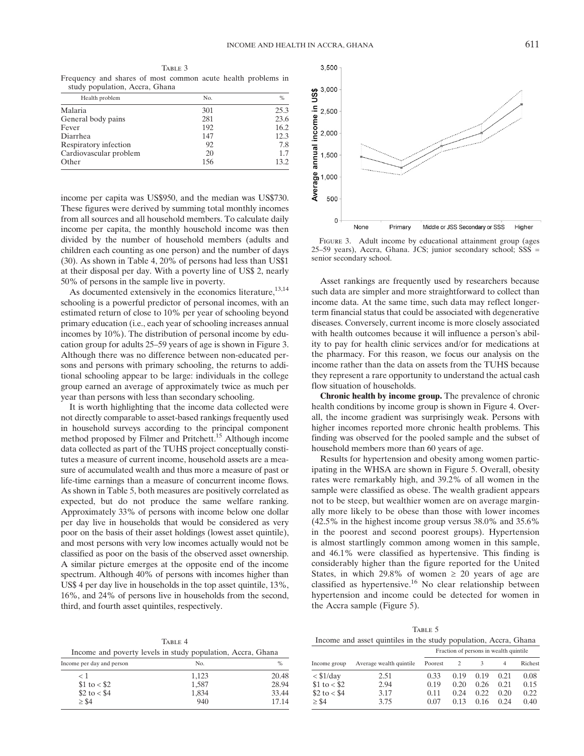TABLE 3 Frequency and shares of most common acute health problems in

| study population, Accra, Ghana |     |      |
|--------------------------------|-----|------|
| Health problem                 | No. | $\%$ |
| Malaria                        | 301 | 25.3 |
| General body pains             | 281 | 23.6 |
| Fever                          | 192 | 16.2 |
| Diarrhea                       | 147 | 12.3 |
| Respiratory infection          | 92  | 7.8  |
| Cardiovascular problem         | 20  | 1.7  |
| Other                          | 156 | 13.2 |

income per capita was US\$950, and the median was US\$730. These figures were derived by summing total monthly incomes from all sources and all household members. To calculate daily income per capita, the monthly household income was then divided by the number of household members (adults and children each counting as one person) and the number of days (30). As shown in Table 4, 20% of persons had less than US\$1 at their disposal per day. With a poverty line of US\$ 2, nearly 50% of persons in the sample live in poverty.

As documented extensively in the economics literature,<sup>13,14</sup> schooling is a powerful predictor of personal incomes, with an estimated return of close to 10% per year of schooling beyond primary education (i.e., each year of schooling increases annual incomes by 10%). The distribution of personal income by education group for adults 25–59 years of age is shown in Figure 3. Although there was no difference between non-educated persons and persons with primary schooling, the returns to additional schooling appear to be large: individuals in the college group earned an average of approximately twice as much per year than persons with less than secondary schooling.

It is worth highlighting that the income data collected were not directly comparable to asset-based rankings frequently used in household surveys according to the principal component method proposed by Filmer and Pritchett.15 Although income data collected as part of the TUHS project conceptually constitutes a measure of current income, household assets are a measure of accumulated wealth and thus more a measure of past or life-time earnings than a measure of concurrent income flows. As shown in Table 5, both measures are positively correlated as expected, but do not produce the same welfare ranking. Approximately 33% of persons with income below one dollar per day live in households that would be considered as very poor on the basis of their asset holdings (lowest asset quintile), and most persons with very low incomes actually would not be classified as poor on the basis of the observed asset ownership. A similar picture emerges at the opposite end of the income spectrum. Although 40% of persons with incomes higher than US\$ 4 per day live in households in the top asset quintile, 13%, 16%, and 24% of persons live in households from the second, third, and fourth asset quintiles, respectively.



FIGURE 3. Adult income by educational attainment group (ages 25–59 years), Accra, Ghana. JCS; junior secondary school; SSS = senior secondary school.

Asset rankings are frequently used by researchers because such data are simpler and more straightforward to collect than income data. At the same time, such data may reflect longerterm financial status that could be associated with degenerative diseases. Conversely, current income is more closely associated with health outcomes because it will influence a person's ability to pay for health clinic services and/or for medications at the pharmacy. For this reason, we focus our analysis on the income rather than the data on assets from the TUHS because they represent a rare opportunity to understand the actual cash flow situation of households.

Chronic health by income group. The prevalence of chronic health conditions by income group is shown in Figure 4. Overall, the income gradient was surprisingly weak. Persons with higher incomes reported more chronic health problems. This finding was observed for the pooled sample and the subset of household members more than 60 years of age.

Results for hypertension and obesity among women participating in the WHSA are shown in Figure 5. Overall, obesity rates were remarkably high, and 39.2% of all women in the sample were classified as obese. The wealth gradient appears not to be steep, but wealthier women are on average marginally more likely to be obese than those with lower incomes (42.5% in the highest income group versus 38.0% and 35.6% in the poorest and second poorest groups). Hypertension is almost startlingly common among women in this sample, and 46.1% were classified as hypertensive. This finding is considerably higher than the figure reported for the United States, in which 29.8% of women  $\geq$  20 years of age are classified as hypertensive.<sup>16</sup> No clear relationship between hypertension and income could be detected for women in the Accra sample (Figure 5).

 $T$ ARI F  $4$ Income and poverty levels in study population, Accra, Ghana

| monic and poverty revers in state, population, recent, chains |       |       |
|---------------------------------------------------------------|-------|-------|
| Income per day and person                                     | No.   | $\%$  |
| < 1                                                           | 1.123 | 20.48 |
| \$1 to $<$ \$2                                                | 1.587 | 28.94 |
| \$2 to $<$ \$4                                                | 1,834 | 33.44 |
| $\geq$ \$4                                                    | 940   | 17.14 |
|                                                               |       |       |

TABLE 5 Income and asset quintiles in the study population, Accra, Ghana

|                |                          | Fraction of persons in wealth quintile |      |      |      |         |  |
|----------------|--------------------------|----------------------------------------|------|------|------|---------|--|
| Income group   | Average wealth quintile. | Poorest                                | 2    | 3    | 4    | Richest |  |
| $<$ \$1/day    | 2.51                     | 0.33                                   | 0.19 | 0.19 | 0.21 | 0.08    |  |
| \$1 to $<$ \$2 | 2.94                     | 0.19                                   | 0.20 | 0.26 | 0.21 | 0.15    |  |
| \$2 to $<$ \$4 | 3.17                     | 0.11                                   | 0.24 | 0.22 | 0.20 | 0.22    |  |
| $\geq$ \$4     | 3.75                     | 0.07                                   | 0.13 | 0.16 | 0.24 | 0.40    |  |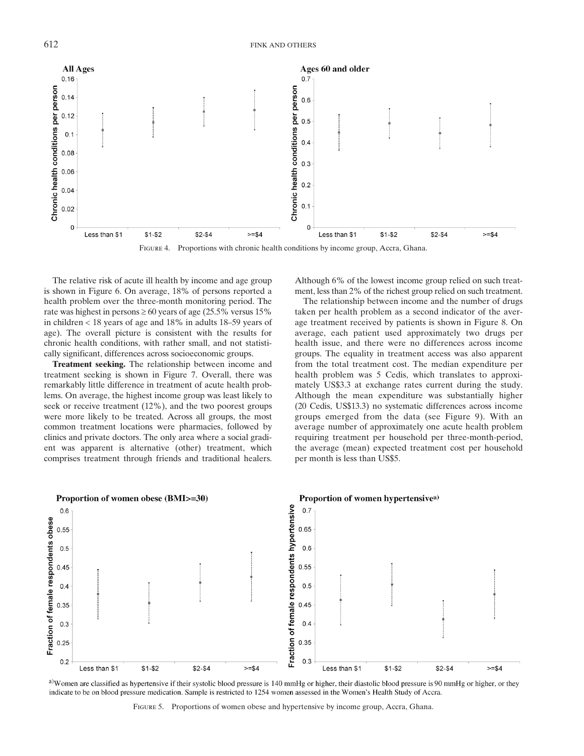

Figure 4. Proportions with chronic health conditions by income group, Accra, Ghana.

The relative risk of acute ill health by income and age group is shown in Figure 6. On average, 18% of persons reported a health problem over the three-month monitoring period. The rate was highest in persons  $\geq 60$  years of age (25.5% versus 15%) in children < 18 years of age and 18% in adults 18–59 years of age). The overall picture is consistent with the results for chronic health conditions, with rather small, and not statistically significant, differences across socioeconomic groups.

Treatment seeking. The relationship between income and treatment seeking is shown in Figure 7. Overall, there was remarkably little difference in treatment of acute health problems. On average, the highest income group was least likely to seek or receive treatment (12%), and the two poorest groups were more likely to be treated. Across all groups, the most common treatment locations were pharmacies, followed by clinics and private doctors. The only area where a social gradient was apparent is alternative (other) treatment, which comprises treatment through friends and traditional healers. Although 6% of the lowest income group relied on such treatment, less than 2% of the richest group relied on such treatment.

The relationship between income and the number of drugs taken per health problem as a second indicator of the average treatment received by patients is shown in Figure 8. On average, each patient used approximately two drugs per health issue, and there were no differences across income groups. The equality in treatment access was also apparent from the total treatment cost. The median expenditure per health problem was 5 Cedis, which translates to approximately US\$3.3 at exchange rates current during the study. Although the mean expenditure was substantially higher (20 Cedis, US\$13.3) no systematic differences across income groups emerged from the data (see Figure 9). With an average number of approximately one acute health problem requiring treatment per household per three-month-period, the average (mean) expected treatment cost per household per month is less than US\$5.



a)Women are classified as hypertensive if their systolic blood pressure is 140 mmHg or higher, their diastolic blood pressure is 90 mmHg or higher, or they indicate to be on blood pressure medication. Sample is restricted to 1254 women assessed in the Women's Health Study of Accra.

Figure 5. Proportions of women obese and hypertensive by income group, Accra, Ghana.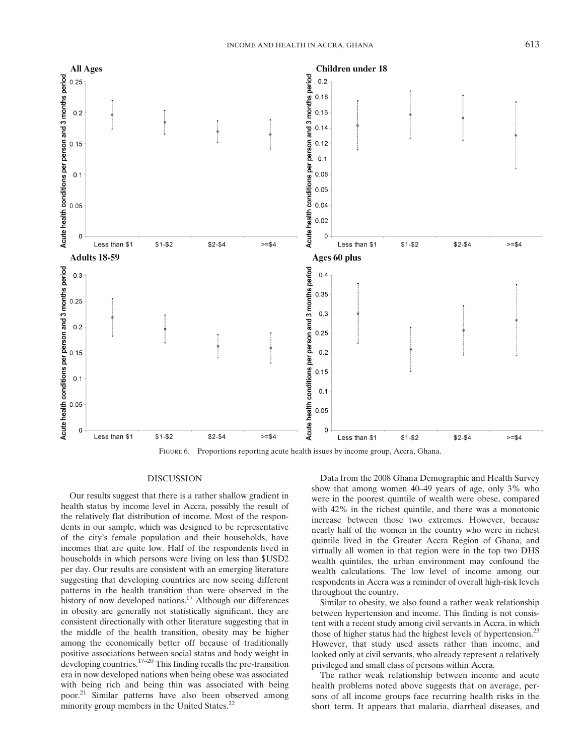

FIGURE 6. Proportions reporting acute health issues by income group, Accra, Ghana.

# DISCUSSION

Our results suggest that there is a rather shallow gradient in health status by income level in Accra, possibly the result of the relatively flat distribution of income. Most of the respondents in our sample, which was designed to be representative of the city's female population and their households, have incomes that are quite low. Half of the respondents lived in households in which persons were living on less than \$USD2 per day. Our results are consistent with an emerging literature suggesting that developing countries are now seeing different patterns in the health transition than were observed in the history of now developed nations.<sup>17</sup> Although our differences in obesity are generally not statistically significant, they are consistent directionally with other literature suggesting that in the middle of the health transition, obesity may be higher among the economically better off because of traditionally positive associations between social status and body weight in developing countries.17–<sup>20</sup> This finding recalls the pre-transition era in now developed nations when being obese was associated with being rich and being thin was associated with being poor.21 Similar patterns have also been observed among minority group members in the United States.<sup>22</sup>

Data from the 2008 Ghana Demographic and Health Survey show that among women 40–49 years of age, only 3% who were in the poorest quintile of wealth were obese, compared with 42% in the richest quintile, and there was a monotonic increase between those two extremes. However, because nearly half of the women in the country who were in richest quintile lived in the Greater Accra Region of Ghana, and virtually all women in that region were in the top two DHS wealth quintiles, the urban environment may confound the wealth calculations. The low level of income among our respondents in Accra was a reminder of overall high-risk levels throughout the country.

Similar to obesity, we also found a rather weak relationship between hypertension and income. This finding is not consistent with a recent study among civil servants in Accra, in which those of higher status had the highest levels of hypertension.<sup>23</sup> However, that study used assets rather than income, and looked only at civil servants, who already represent a relatively privileged and small class of persons within Accra.

The rather weak relationship between income and acute health problems noted above suggests that on average, persons of all income groups face recurring health risks in the short term. It appears that malaria, diarrheal diseases, and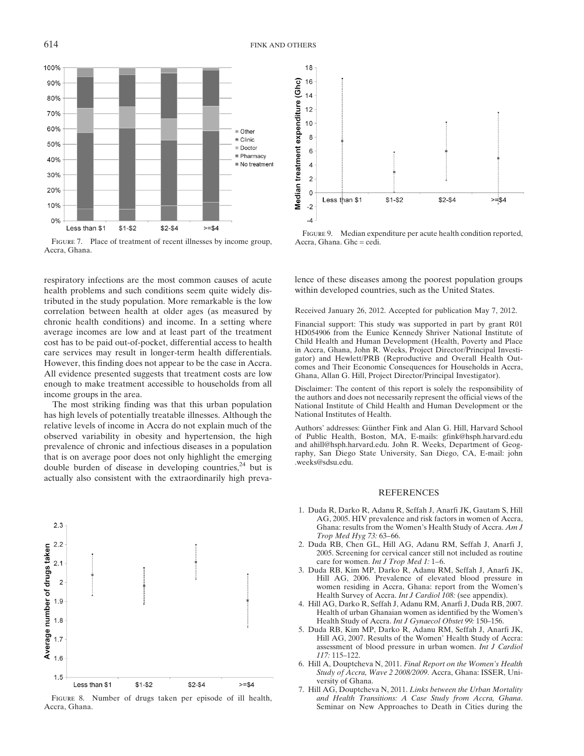

FIGURE 7. Place of treatment of recent illnesses by income group, Accra, Ghana.

respiratory infections are the most common causes of acute health problems and such conditions seem quite widely distributed in the study population. More remarkable is the low correlation between health at older ages (as measured by chronic health conditions) and income. In a setting where average incomes are low and at least part of the treatment cost has to be paid out-of-pocket, differential access to health care services may result in longer-term health differentials. However, this finding does not appear to be the case in Accra. All evidence presented suggests that treatment costs are low enough to make treatment accessible to households from all income groups in the area.

The most striking finding was that this urban population has high levels of potentially treatable illnesses. Although the relative levels of income in Accra do not explain much of the observed variability in obesity and hypertension, the high prevalence of chronic and infectious diseases in a population that is on average poor does not only highlight the emerging double burden of disease in developing countries,<sup>24</sup> but is actually also consistent with the extraordinarily high preva-



FIGURE 8. Number of drugs taken per episode of ill health, Accra, Ghana.



FIGURE 9. Median expenditure per acute health condition reported, Accra, Ghana. Ghc = cedi.

lence of these diseases among the poorest population groups within developed countries, such as the United States.

Received January 26, 2012. Accepted for publication May 7, 2012.

Financial support: This study was supported in part by grant R01 HD054906 from the Eunice Kennedy Shriver National Institute of Child Health and Human Development (Health, Poverty and Place in Accra, Ghana, John R. Weeks, Project Director/Principal Investigator) and Hewlett/PRB (Reproductive and Overall Health Outcomes and Their Economic Consequences for Households in Accra, Ghana, Allan G. Hill, Project Director/Principal Investigator).

Disclaimer: The content of this report is solely the responsibility of the authors and does not necessarily represent the official views of the National Institute of Child Health and Human Development or the National Institutes of Health.

Authors' addresses: Günther Fink and Alan G. Hill, Harvard School of Public Health, Boston, MA, E-mails: gfink@hsph.harvard.edu and ahill@hsph.harvard.edu. John R. Weeks, Department of Geography, San Diego State University, San Diego, CA, E-mail: john .weeks@sdsu.edu.

# REFERENCES

- 1. Duda R, Darko R, Adanu R, Seffah J, Anarfi JK, Gautam S, Hill AG, 2005. HIV prevalence and risk factors in women of Accra, Ghana: results from the Women's Health Study of Accra. Am J Trop Med Hyg 73: 63–66.
- 2. Duda RB, Chen GL, Hill AG, Adanu RM, Seffah J, Anarfi J, 2005. Screening for cervical cancer still not included as routine care for women. Int J Trop Med 1: 1-6.
- 3. Duda RB, Kim MP, Darko R, Adanu RM, Seffah J, Anarfi JK, Hill AG, 2006. Prevalence of elevated blood pressure in women residing in Accra, Ghana: report from the Women's Health Survey of Accra. Int J Cardiol 108: (see appendix).
- 4. Hill AG, Darko R, Seffah J, Adanu RM, Anarfi J, Duda RB, 2007. Health of urban Ghanaian women as identified by the Women's Health Study of Accra. Int J Gynaecol Obstet 99: 150-156.
- 5. Duda RB, Kim MP, Darko R, Adanu RM, Seffah J, Anarfi JK, Hill AG, 2007. Results of the Women' Health Study of Accra: assessment of blood pressure in urban women. Int J Cardiol 117: 115–122.
- 6. Hill A, Douptcheva N, 2011. Final Report on the Women's Health Study of Accra, Wave 2 2008/2009. Accra, Ghana: ISSER, University of Ghana.
- 7. Hill AG, Douptcheva N, 2011. Links between the Urban Mortality and Health Transitions: A Case Study from Accra, Ghana. Seminar on New Approaches to Death in Cities during the